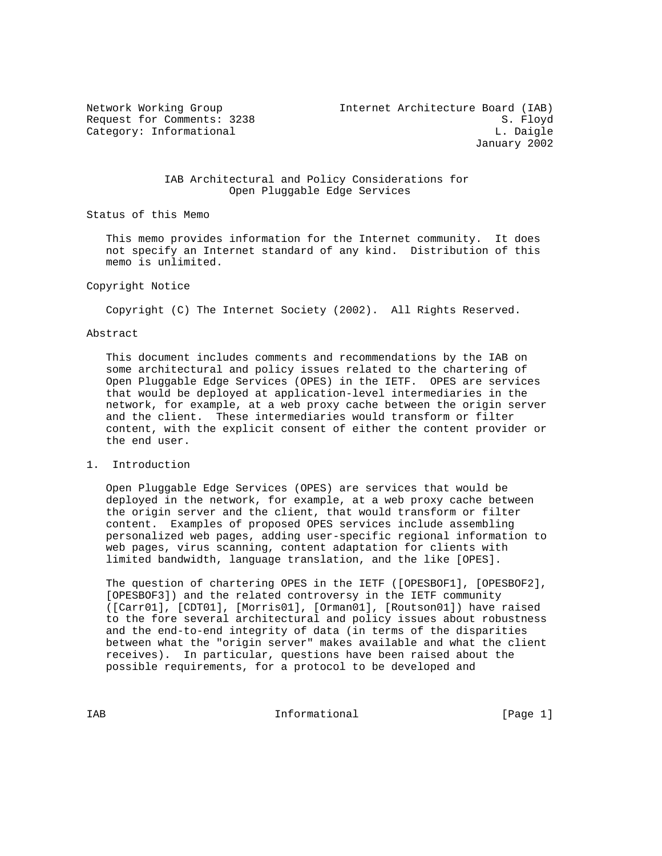# IAB Architectural and Policy Considerations for Open Pluggable Edge Services

Status of this Memo

 This memo provides information for the Internet community. It does not specify an Internet standard of any kind. Distribution of this memo is unlimited.

## Copyright Notice

Copyright (C) The Internet Society (2002). All Rights Reserved.

## Abstract

 This document includes comments and recommendations by the IAB on some architectural and policy issues related to the chartering of Open Pluggable Edge Services (OPES) in the IETF. OPES are services that would be deployed at application-level intermediaries in the network, for example, at a web proxy cache between the origin server and the client. These intermediaries would transform or filter content, with the explicit consent of either the content provider or the end user.

#### 1. Introduction

 Open Pluggable Edge Services (OPES) are services that would be deployed in the network, for example, at a web proxy cache between the origin server and the client, that would transform or filter content. Examples of proposed OPES services include assembling personalized web pages, adding user-specific regional information to web pages, virus scanning, content adaptation for clients with limited bandwidth, language translation, and the like [OPES].

 The question of chartering OPES in the IETF ([OPESBOF1], [OPESBOF2], [OPESBOF3]) and the related controversy in the IETF community ([Carr01], [CDT01], [Morris01], [Orman01], [Routson01]) have raised to the fore several architectural and policy issues about robustness and the end-to-end integrity of data (in terms of the disparities between what the "origin server" makes available and what the client receives). In particular, questions have been raised about the possible requirements, for a protocol to be developed and

IAB 188 CHA Informational The Informational (Page 1)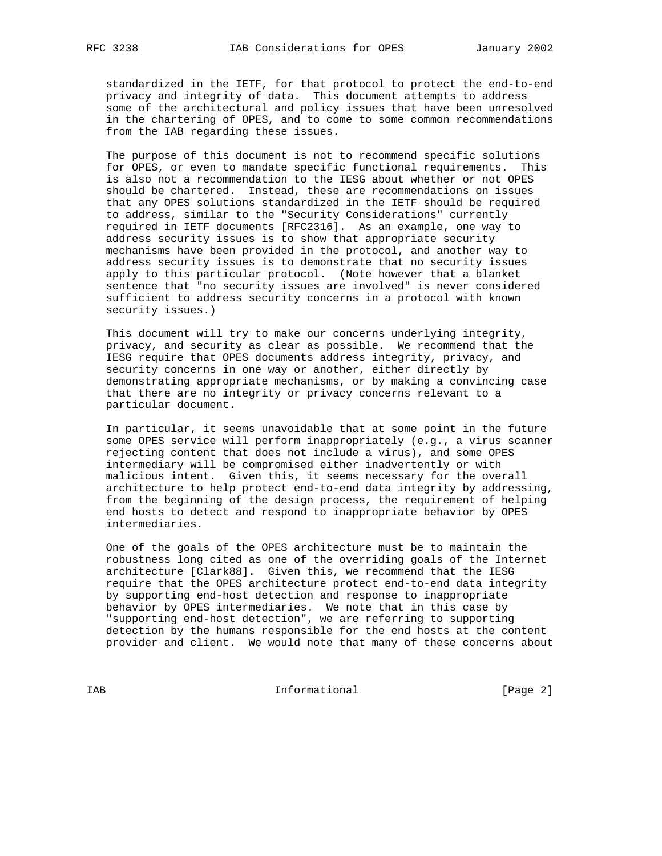standardized in the IETF, for that protocol to protect the end-to-end privacy and integrity of data. This document attempts to address some of the architectural and policy issues that have been unresolved in the chartering of OPES, and to come to some common recommendations from the IAB regarding these issues.

 The purpose of this document is not to recommend specific solutions for OPES, or even to mandate specific functional requirements. This is also not a recommendation to the IESG about whether or not OPES should be chartered. Instead, these are recommendations on issues that any OPES solutions standardized in the IETF should be required to address, similar to the "Security Considerations" currently required in IETF documents [RFC2316]. As an example, one way to address security issues is to show that appropriate security mechanisms have been provided in the protocol, and another way to address security issues is to demonstrate that no security issues apply to this particular protocol. (Note however that a blanket sentence that "no security issues are involved" is never considered sufficient to address security concerns in a protocol with known security issues.)

 This document will try to make our concerns underlying integrity, privacy, and security as clear as possible. We recommend that the IESG require that OPES documents address integrity, privacy, and security concerns in one way or another, either directly by demonstrating appropriate mechanisms, or by making a convincing case that there are no integrity or privacy concerns relevant to a particular document.

 In particular, it seems unavoidable that at some point in the future some OPES service will perform inappropriately (e.g., a virus scanner rejecting content that does not include a virus), and some OPES intermediary will be compromised either inadvertently or with malicious intent. Given this, it seems necessary for the overall architecture to help protect end-to-end data integrity by addressing, from the beginning of the design process, the requirement of helping end hosts to detect and respond to inappropriate behavior by OPES intermediaries.

 One of the goals of the OPES architecture must be to maintain the robustness long cited as one of the overriding goals of the Internet architecture [Clark88]. Given this, we recommend that the IESG require that the OPES architecture protect end-to-end data integrity by supporting end-host detection and response to inappropriate behavior by OPES intermediaries. We note that in this case by "supporting end-host detection", we are referring to supporting detection by the humans responsible for the end hosts at the content provider and client. We would note that many of these concerns about

IAB Informational [Page 2]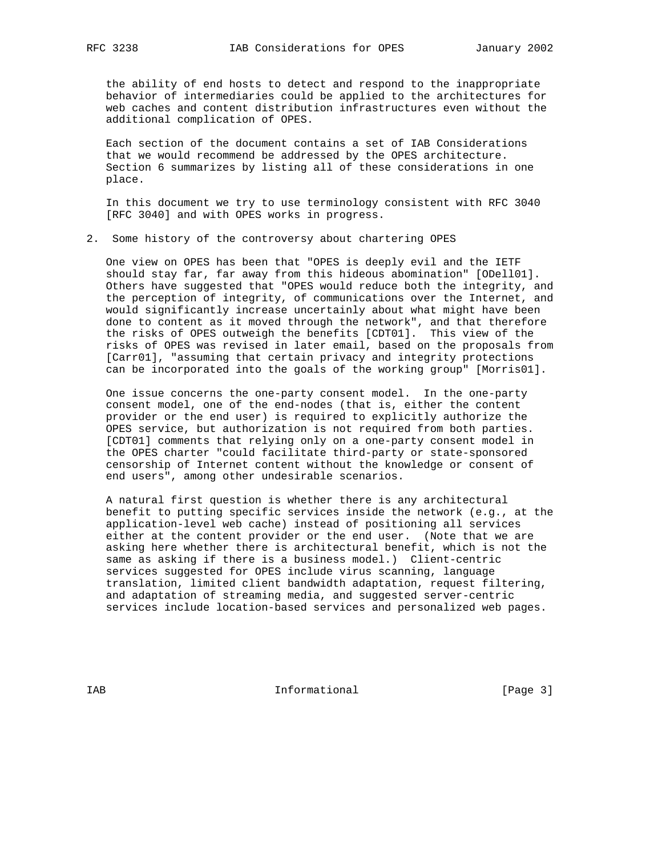the ability of end hosts to detect and respond to the inappropriate behavior of intermediaries could be applied to the architectures for web caches and content distribution infrastructures even without the additional complication of OPES.

 Each section of the document contains a set of IAB Considerations that we would recommend be addressed by the OPES architecture. Section 6 summarizes by listing all of these considerations in one place.

 In this document we try to use terminology consistent with RFC 3040 [RFC 3040] and with OPES works in progress.

2. Some history of the controversy about chartering OPES

 One view on OPES has been that "OPES is deeply evil and the IETF should stay far, far away from this hideous abomination" [ODell01]. Others have suggested that "OPES would reduce both the integrity, and the perception of integrity, of communications over the Internet, and would significantly increase uncertainly about what might have been done to content as it moved through the network", and that therefore the risks of OPES outweigh the benefits [CDT01]. This view of the risks of OPES was revised in later email, based on the proposals from [Carr01], "assuming that certain privacy and integrity protections can be incorporated into the goals of the working group" [Morris01].

 One issue concerns the one-party consent model. In the one-party consent model, one of the end-nodes (that is, either the content provider or the end user) is required to explicitly authorize the OPES service, but authorization is not required from both parties. [CDT01] comments that relying only on a one-party consent model in the OPES charter "could facilitate third-party or state-sponsored censorship of Internet content without the knowledge or consent of end users", among other undesirable scenarios.

 A natural first question is whether there is any architectural benefit to putting specific services inside the network (e.g., at the application-level web cache) instead of positioning all services either at the content provider or the end user. (Note that we are asking here whether there is architectural benefit, which is not the same as asking if there is a business model.) Client-centric services suggested for OPES include virus scanning, language translation, limited client bandwidth adaptation, request filtering, and adaptation of streaming media, and suggested server-centric services include location-based services and personalized web pages.

IAB 188 and 100 mm informational the state of  $[Page 3]$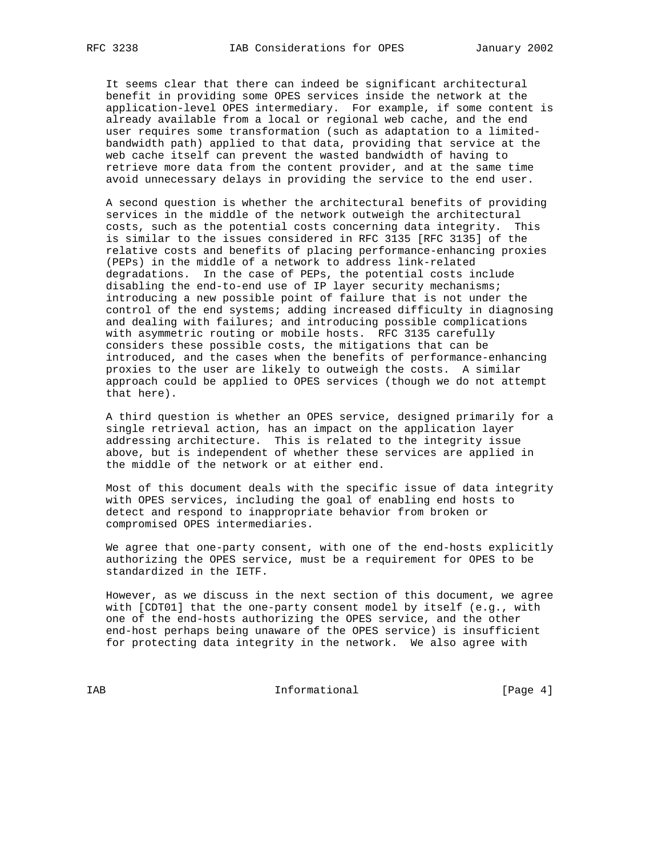It seems clear that there can indeed be significant architectural benefit in providing some OPES services inside the network at the application-level OPES intermediary. For example, if some content is already available from a local or regional web cache, and the end user requires some transformation (such as adaptation to a limited bandwidth path) applied to that data, providing that service at the web cache itself can prevent the wasted bandwidth of having to retrieve more data from the content provider, and at the same time avoid unnecessary delays in providing the service to the end user.

 A second question is whether the architectural benefits of providing services in the middle of the network outweigh the architectural costs, such as the potential costs concerning data integrity. This is similar to the issues considered in RFC 3135 [RFC 3135] of the relative costs and benefits of placing performance-enhancing proxies (PEPs) in the middle of a network to address link-related degradations. In the case of PEPs, the potential costs include disabling the end-to-end use of IP layer security mechanisms; introducing a new possible point of failure that is not under the control of the end systems; adding increased difficulty in diagnosing and dealing with failures; and introducing possible complications with asymmetric routing or mobile hosts. RFC 3135 carefully considers these possible costs, the mitigations that can be introduced, and the cases when the benefits of performance-enhancing proxies to the user are likely to outweigh the costs. A similar approach could be applied to OPES services (though we do not attempt that here).

 A third question is whether an OPES service, designed primarily for a single retrieval action, has an impact on the application layer addressing architecture. This is related to the integrity issue above, but is independent of whether these services are applied in the middle of the network or at either end.

 Most of this document deals with the specific issue of data integrity with OPES services, including the goal of enabling end hosts to detect and respond to inappropriate behavior from broken or compromised OPES intermediaries.

 We agree that one-party consent, with one of the end-hosts explicitly authorizing the OPES service, must be a requirement for OPES to be standardized in the IETF.

 However, as we discuss in the next section of this document, we agree with [CDT01] that the one-party consent model by itself (e.g., with one of the end-hosts authorizing the OPES service, and the other end-host perhaps being unaware of the OPES service) is insufficient for protecting data integrity in the network. We also agree with

IAB Informational [Page 4]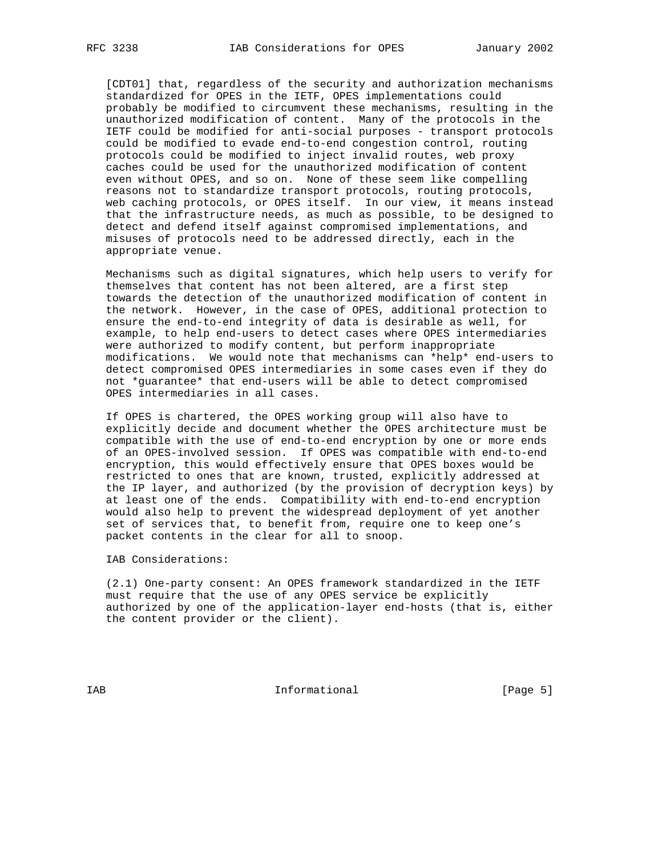[CDT01] that, regardless of the security and authorization mechanisms standardized for OPES in the IETF, OPES implementations could probably be modified to circumvent these mechanisms, resulting in the unauthorized modification of content. Many of the protocols in the IETF could be modified for anti-social purposes - transport protocols could be modified to evade end-to-end congestion control, routing protocols could be modified to inject invalid routes, web proxy caches could be used for the unauthorized modification of content even without OPES, and so on. None of these seem like compelling reasons not to standardize transport protocols, routing protocols, web caching protocols, or OPES itself. In our view, it means instead that the infrastructure needs, as much as possible, to be designed to detect and defend itself against compromised implementations, and misuses of protocols need to be addressed directly, each in the appropriate venue.

 Mechanisms such as digital signatures, which help users to verify for themselves that content has not been altered, are a first step towards the detection of the unauthorized modification of content in the network. However, in the case of OPES, additional protection to ensure the end-to-end integrity of data is desirable as well, for example, to help end-users to detect cases where OPES intermediaries were authorized to modify content, but perform inappropriate modifications. We would note that mechanisms can \*help\* end-users to detect compromised OPES intermediaries in some cases even if they do not \*guarantee\* that end-users will be able to detect compromised OPES intermediaries in all cases.

 If OPES is chartered, the OPES working group will also have to explicitly decide and document whether the OPES architecture must be compatible with the use of end-to-end encryption by one or more ends of an OPES-involved session. If OPES was compatible with end-to-end encryption, this would effectively ensure that OPES boxes would be restricted to ones that are known, trusted, explicitly addressed at the IP layer, and authorized (by the provision of decryption keys) by at least one of the ends. Compatibility with end-to-end encryption would also help to prevent the widespread deployment of yet another set of services that, to benefit from, require one to keep one's packet contents in the clear for all to snoop.

IAB Considerations:

 (2.1) One-party consent: An OPES framework standardized in the IETF must require that the use of any OPES service be explicitly authorized by one of the application-layer end-hosts (that is, either the content provider or the client).

IAB 188 and 100 mm informational the state of  $[Page 5]$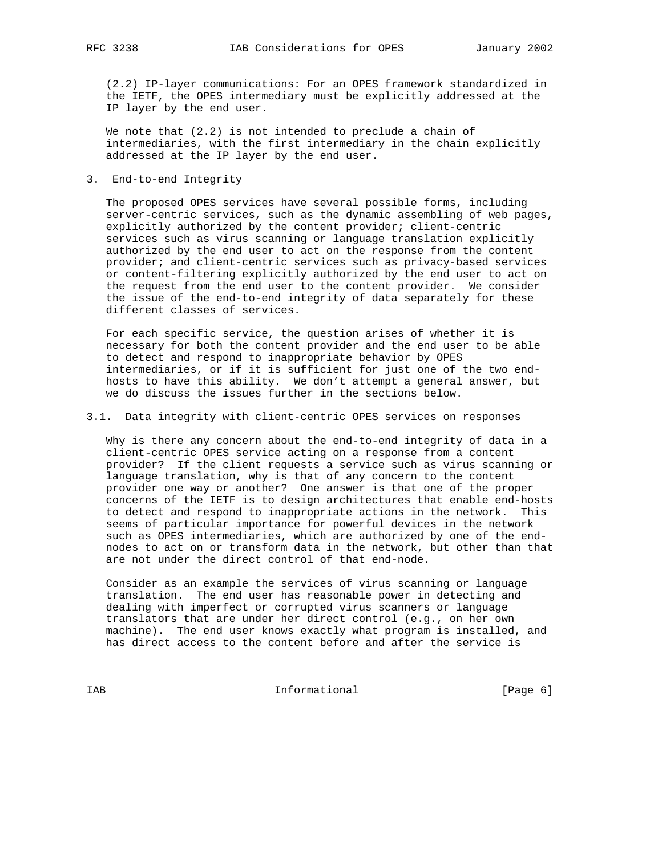(2.2) IP-layer communications: For an OPES framework standardized in the IETF, the OPES intermediary must be explicitly addressed at the IP layer by the end user.

 We note that (2.2) is not intended to preclude a chain of intermediaries, with the first intermediary in the chain explicitly addressed at the IP layer by the end user.

3. End-to-end Integrity

 The proposed OPES services have several possible forms, including server-centric services, such as the dynamic assembling of web pages, explicitly authorized by the content provider; client-centric services such as virus scanning or language translation explicitly authorized by the end user to act on the response from the content provider; and client-centric services such as privacy-based services or content-filtering explicitly authorized by the end user to act on the request from the end user to the content provider. We consider the issue of the end-to-end integrity of data separately for these different classes of services.

 For each specific service, the question arises of whether it is necessary for both the content provider and the end user to be able to detect and respond to inappropriate behavior by OPES intermediaries, or if it is sufficient for just one of the two end hosts to have this ability. We don't attempt a general answer, but we do discuss the issues further in the sections below.

3.1. Data integrity with client-centric OPES services on responses

 Why is there any concern about the end-to-end integrity of data in a client-centric OPES service acting on a response from a content provider? If the client requests a service such as virus scanning or language translation, why is that of any concern to the content provider one way or another? One answer is that one of the proper concerns of the IETF is to design architectures that enable end-hosts to detect and respond to inappropriate actions in the network. This seems of particular importance for powerful devices in the network such as OPES intermediaries, which are authorized by one of the end nodes to act on or transform data in the network, but other than that are not under the direct control of that end-node.

 Consider as an example the services of virus scanning or language translation. The end user has reasonable power in detecting and dealing with imperfect or corrupted virus scanners or language translators that are under her direct control (e.g., on her own machine). The end user knows exactly what program is installed, and has direct access to the content before and after the service is

IAB Informational [Page 6]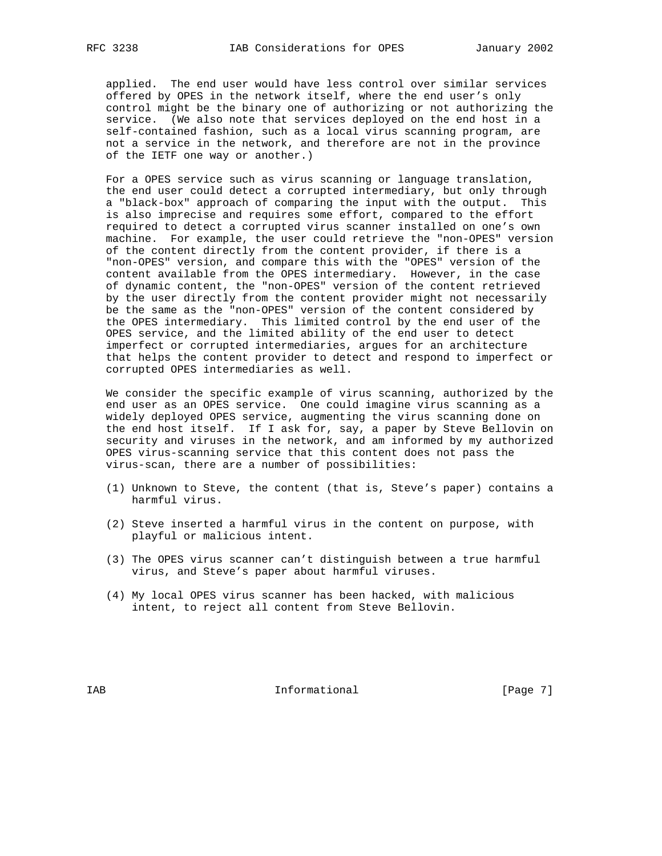applied. The end user would have less control over similar services offered by OPES in the network itself, where the end user's only control might be the binary one of authorizing or not authorizing the service. (We also note that services deployed on the end host in a self-contained fashion, such as a local virus scanning program, are not a service in the network, and therefore are not in the province of the IETF one way or another.)

 For a OPES service such as virus scanning or language translation, the end user could detect a corrupted intermediary, but only through a "black-box" approach of comparing the input with the output. This is also imprecise and requires some effort, compared to the effort required to detect a corrupted virus scanner installed on one's own machine. For example, the user could retrieve the "non-OPES" version of the content directly from the content provider, if there is a "non-OPES" version, and compare this with the "OPES" version of the content available from the OPES intermediary. However, in the case of dynamic content, the "non-OPES" version of the content retrieved by the user directly from the content provider might not necessarily be the same as the "non-OPES" version of the content considered by the OPES intermediary. This limited control by the end user of the OPES service, and the limited ability of the end user to detect imperfect or corrupted intermediaries, argues for an architecture that helps the content provider to detect and respond to imperfect or corrupted OPES intermediaries as well.

 We consider the specific example of virus scanning, authorized by the end user as an OPES service. One could imagine virus scanning as a widely deployed OPES service, augmenting the virus scanning done on the end host itself. If I ask for, say, a paper by Steve Bellovin on security and viruses in the network, and am informed by my authorized OPES virus-scanning service that this content does not pass the virus-scan, there are a number of possibilities:

- (1) Unknown to Steve, the content (that is, Steve's paper) contains a harmful virus.
- (2) Steve inserted a harmful virus in the content on purpose, with playful or malicious intent.
- (3) The OPES virus scanner can't distinguish between a true harmful virus, and Steve's paper about harmful viruses.
- (4) My local OPES virus scanner has been hacked, with malicious intent, to reject all content from Steve Bellovin.

IAB 188 and 100 mm informational the state of  $[Page 7]$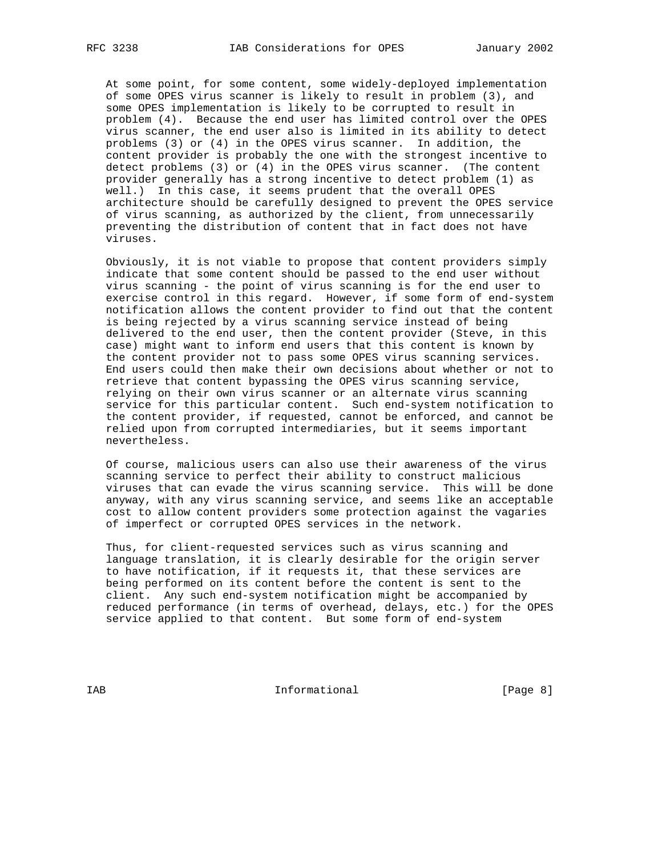At some point, for some content, some widely-deployed implementation of some OPES virus scanner is likely to result in problem (3), and some OPES implementation is likely to be corrupted to result in problem (4). Because the end user has limited control over the OPES virus scanner, the end user also is limited in its ability to detect problems (3) or (4) in the OPES virus scanner. In addition, the content provider is probably the one with the strongest incentive to detect problems (3) or (4) in the OPES virus scanner. (The content provider generally has a strong incentive to detect problem (1) as well.) In this case, it seems prudent that the overall OPES architecture should be carefully designed to prevent the OPES service of virus scanning, as authorized by the client, from unnecessarily preventing the distribution of content that in fact does not have viruses.

 Obviously, it is not viable to propose that content providers simply indicate that some content should be passed to the end user without virus scanning - the point of virus scanning is for the end user to exercise control in this regard. However, if some form of end-system notification allows the content provider to find out that the content is being rejected by a virus scanning service instead of being delivered to the end user, then the content provider (Steve, in this case) might want to inform end users that this content is known by the content provider not to pass some OPES virus scanning services. End users could then make their own decisions about whether or not to retrieve that content bypassing the OPES virus scanning service, relying on their own virus scanner or an alternate virus scanning service for this particular content. Such end-system notification to the content provider, if requested, cannot be enforced, and cannot be relied upon from corrupted intermediaries, but it seems important nevertheless.

 Of course, malicious users can also use their awareness of the virus scanning service to perfect their ability to construct malicious viruses that can evade the virus scanning service. This will be done anyway, with any virus scanning service, and seems like an acceptable cost to allow content providers some protection against the vagaries of imperfect or corrupted OPES services in the network.

 Thus, for client-requested services such as virus scanning and language translation, it is clearly desirable for the origin server to have notification, if it requests it, that these services are being performed on its content before the content is sent to the client. Any such end-system notification might be accompanied by reduced performance (in terms of overhead, delays, etc.) for the OPES service applied to that content. But some form of end-system

IAB 188 and 100 mm informational the state of  $\{Page 8\}$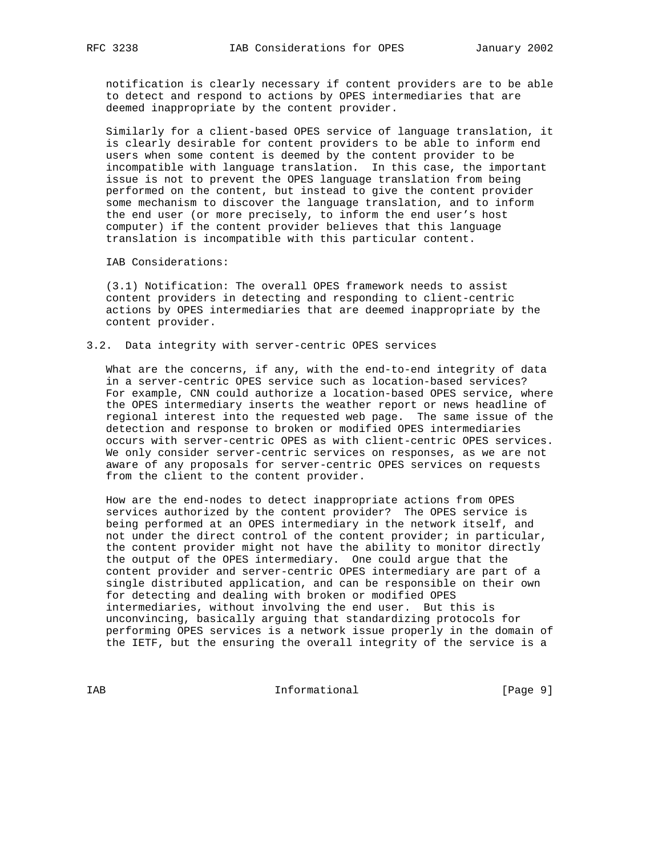notification is clearly necessary if content providers are to be able to detect and respond to actions by OPES intermediaries that are deemed inappropriate by the content provider.

 Similarly for a client-based OPES service of language translation, it is clearly desirable for content providers to be able to inform end users when some content is deemed by the content provider to be incompatible with language translation. In this case, the important issue is not to prevent the OPES language translation from being performed on the content, but instead to give the content provider some mechanism to discover the language translation, and to inform the end user (or more precisely, to inform the end user's host computer) if the content provider believes that this language translation is incompatible with this particular content.

IAB Considerations:

 (3.1) Notification: The overall OPES framework needs to assist content providers in detecting and responding to client-centric actions by OPES intermediaries that are deemed inappropriate by the content provider.

## 3.2. Data integrity with server-centric OPES services

 What are the concerns, if any, with the end-to-end integrity of data in a server-centric OPES service such as location-based services? For example, CNN could authorize a location-based OPES service, where the OPES intermediary inserts the weather report or news headline of regional interest into the requested web page. The same issue of the detection and response to broken or modified OPES intermediaries occurs with server-centric OPES as with client-centric OPES services. We only consider server-centric services on responses, as we are not aware of any proposals for server-centric OPES services on requests from the client to the content provider.

 How are the end-nodes to detect inappropriate actions from OPES services authorized by the content provider? The OPES service is being performed at an OPES intermediary in the network itself, and not under the direct control of the content provider; in particular, the content provider might not have the ability to monitor directly the output of the OPES intermediary. One could argue that the content provider and server-centric OPES intermediary are part of a single distributed application, and can be responsible on their own for detecting and dealing with broken or modified OPES intermediaries, without involving the end user. But this is unconvincing, basically arguing that standardizing protocols for performing OPES services is a network issue properly in the domain of the IETF, but the ensuring the overall integrity of the service is a

IAB Informational [Page 9]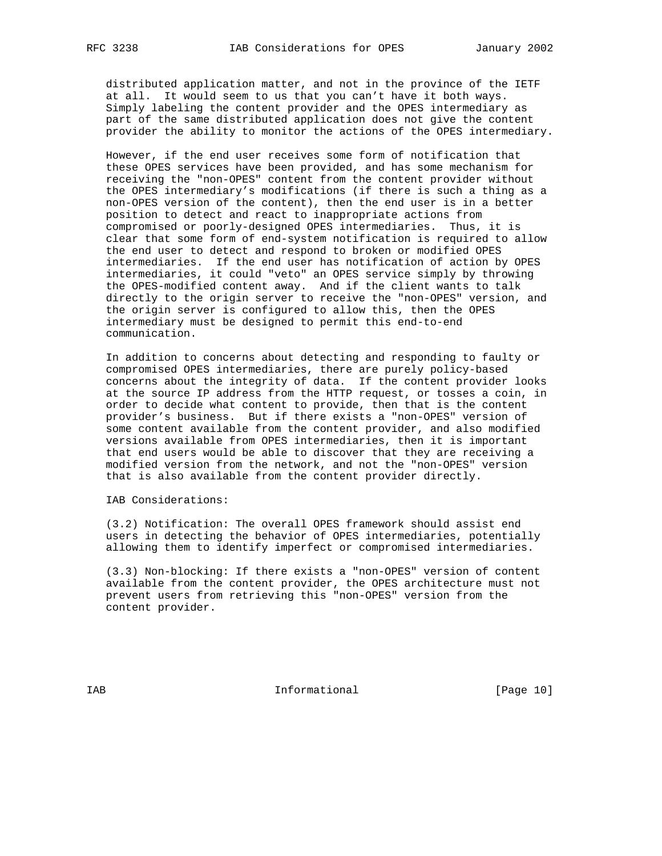distributed application matter, and not in the province of the IETF at all. It would seem to us that you can't have it both ways. Simply labeling the content provider and the OPES intermediary as part of the same distributed application does not give the content provider the ability to monitor the actions of the OPES intermediary.

 However, if the end user receives some form of notification that these OPES services have been provided, and has some mechanism for receiving the "non-OPES" content from the content provider without the OPES intermediary's modifications (if there is such a thing as a non-OPES version of the content), then the end user is in a better position to detect and react to inappropriate actions from compromised or poorly-designed OPES intermediaries. Thus, it is clear that some form of end-system notification is required to allow the end user to detect and respond to broken or modified OPES intermediaries. If the end user has notification of action by OPES intermediaries, it could "veto" an OPES service simply by throwing the OPES-modified content away. And if the client wants to talk directly to the origin server to receive the "non-OPES" version, and the origin server is configured to allow this, then the OPES intermediary must be designed to permit this end-to-end communication.

 In addition to concerns about detecting and responding to faulty or compromised OPES intermediaries, there are purely policy-based concerns about the integrity of data. If the content provider looks at the source IP address from the HTTP request, or tosses a coin, in order to decide what content to provide, then that is the content provider's business. But if there exists a "non-OPES" version of some content available from the content provider, and also modified versions available from OPES intermediaries, then it is important that end users would be able to discover that they are receiving a modified version from the network, and not the "non-OPES" version that is also available from the content provider directly.

IAB Considerations:

 (3.2) Notification: The overall OPES framework should assist end users in detecting the behavior of OPES intermediaries, potentially allowing them to identify imperfect or compromised intermediaries.

 (3.3) Non-blocking: If there exists a "non-OPES" version of content available from the content provider, the OPES architecture must not prevent users from retrieving this "non-OPES" version from the content provider.

IAB 188 Informational [Page 10]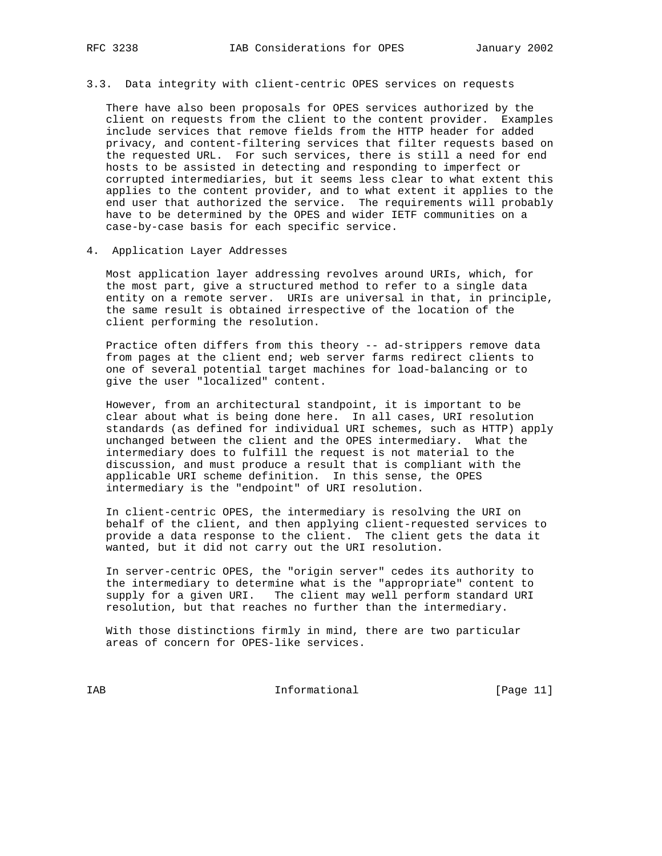# 3.3. Data integrity with client-centric OPES services on requests

 There have also been proposals for OPES services authorized by the client on requests from the client to the content provider. Examples include services that remove fields from the HTTP header for added privacy, and content-filtering services that filter requests based on the requested URL. For such services, there is still a need for end hosts to be assisted in detecting and responding to imperfect or corrupted intermediaries, but it seems less clear to what extent this applies to the content provider, and to what extent it applies to the end user that authorized the service. The requirements will probably have to be determined by the OPES and wider IETF communities on a case-by-case basis for each specific service.

4. Application Layer Addresses

 Most application layer addressing revolves around URIs, which, for the most part, give a structured method to refer to a single data entity on a remote server. URIs are universal in that, in principle, the same result is obtained irrespective of the location of the client performing the resolution.

 Practice often differs from this theory -- ad-strippers remove data from pages at the client end; web server farms redirect clients to one of several potential target machines for load-balancing or to give the user "localized" content.

 However, from an architectural standpoint, it is important to be clear about what is being done here. In all cases, URI resolution standards (as defined for individual URI schemes, such as HTTP) apply unchanged between the client and the OPES intermediary. What the intermediary does to fulfill the request is not material to the discussion, and must produce a result that is compliant with the applicable URI scheme definition. In this sense, the OPES intermediary is the "endpoint" of URI resolution.

 In client-centric OPES, the intermediary is resolving the URI on behalf of the client, and then applying client-requested services to provide a data response to the client. The client gets the data it wanted, but it did not carry out the URI resolution.

 In server-centric OPES, the "origin server" cedes its authority to the intermediary to determine what is the "appropriate" content to supply for a given URI. The client may well perform standard URI resolution, but that reaches no further than the intermediary.

 With those distinctions firmly in mind, there are two particular areas of concern for OPES-like services.

IAB Informational [Page 11]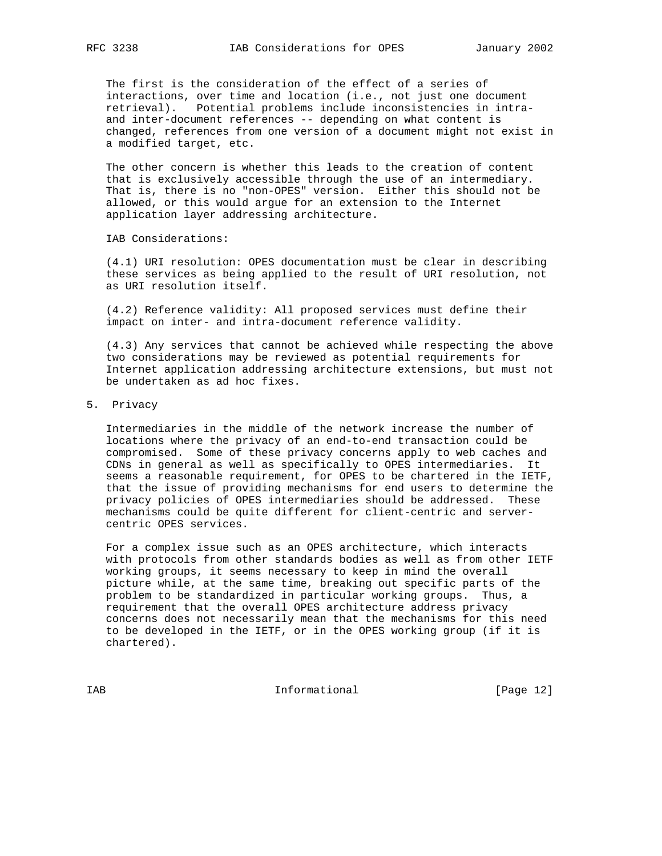The first is the consideration of the effect of a series of interactions, over time and location (i.e., not just one document retrieval). Potential problems include inconsistencies in intra and inter-document references -- depending on what content is changed, references from one version of a document might not exist in a modified target, etc.

 The other concern is whether this leads to the creation of content that is exclusively accessible through the use of an intermediary. That is, there is no "non-OPES" version. Either this should not be allowed, or this would argue for an extension to the Internet application layer addressing architecture.

IAB Considerations:

 (4.1) URI resolution: OPES documentation must be clear in describing these services as being applied to the result of URI resolution, not as URI resolution itself.

 (4.2) Reference validity: All proposed services must define their impact on inter- and intra-document reference validity.

 (4.3) Any services that cannot be achieved while respecting the above two considerations may be reviewed as potential requirements for Internet application addressing architecture extensions, but must not be undertaken as ad hoc fixes.

5. Privacy

 Intermediaries in the middle of the network increase the number of locations where the privacy of an end-to-end transaction could be compromised. Some of these privacy concerns apply to web caches and CDNs in general as well as specifically to OPES intermediaries. It seems a reasonable requirement, for OPES to be chartered in the IETF, that the issue of providing mechanisms for end users to determine the privacy policies of OPES intermediaries should be addressed. These mechanisms could be quite different for client-centric and server centric OPES services.

 For a complex issue such as an OPES architecture, which interacts with protocols from other standards bodies as well as from other IETF working groups, it seems necessary to keep in mind the overall picture while, at the same time, breaking out specific parts of the problem to be standardized in particular working groups. Thus, a requirement that the overall OPES architecture address privacy concerns does not necessarily mean that the mechanisms for this need to be developed in the IETF, or in the OPES working group (if it is chartered).

IAB Informational [Page 12]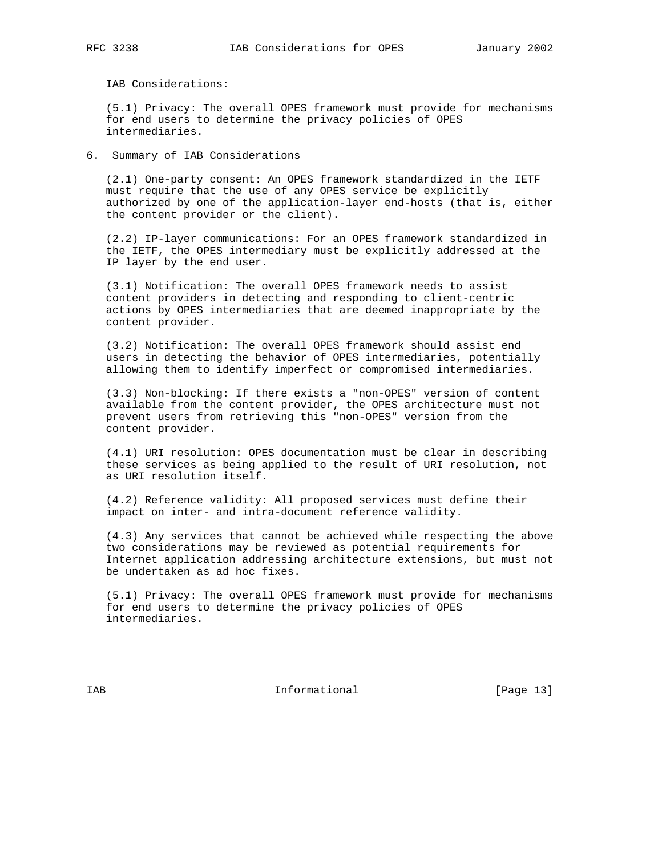IAB Considerations:

 (5.1) Privacy: The overall OPES framework must provide for mechanisms for end users to determine the privacy policies of OPES intermediaries.

6. Summary of IAB Considerations

 (2.1) One-party consent: An OPES framework standardized in the IETF must require that the use of any OPES service be explicitly authorized by one of the application-layer end-hosts (that is, either the content provider or the client).

 (2.2) IP-layer communications: For an OPES framework standardized in the IETF, the OPES intermediary must be explicitly addressed at the IP layer by the end user.

 (3.1) Notification: The overall OPES framework needs to assist content providers in detecting and responding to client-centric actions by OPES intermediaries that are deemed inappropriate by the content provider.

 (3.2) Notification: The overall OPES framework should assist end users in detecting the behavior of OPES intermediaries, potentially allowing them to identify imperfect or compromised intermediaries.

 (3.3) Non-blocking: If there exists a "non-OPES" version of content available from the content provider, the OPES architecture must not prevent users from retrieving this "non-OPES" version from the content provider.

 (4.1) URI resolution: OPES documentation must be clear in describing these services as being applied to the result of URI resolution, not as URI resolution itself.

 (4.2) Reference validity: All proposed services must define their impact on inter- and intra-document reference validity.

 (4.3) Any services that cannot be achieved while respecting the above two considerations may be reviewed as potential requirements for Internet application addressing architecture extensions, but must not be undertaken as ad hoc fixes.

 (5.1) Privacy: The overall OPES framework must provide for mechanisms for end users to determine the privacy policies of OPES intermediaries.

IAB 188 Informational [Page 13]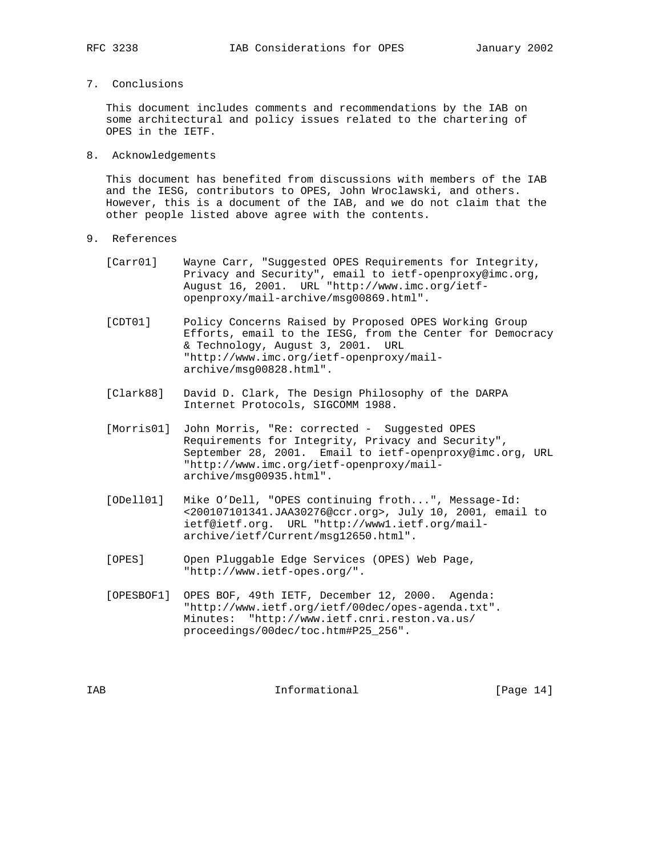7. Conclusions

 This document includes comments and recommendations by the IAB on some architectural and policy issues related to the chartering of OPES in the IETF.

8. Acknowledgements

 This document has benefited from discussions with members of the IAB and the IESG, contributors to OPES, John Wroclawski, and others. However, this is a document of the IAB, and we do not claim that the other people listed above agree with the contents.

- 9. References
	- [Carr01] Wayne Carr, "Suggested OPES Requirements for Integrity, Privacy and Security", email to ietf-openproxy@imc.org, August 16, 2001. URL "http://www.imc.org/ietf openproxy/mail-archive/msg00869.html".
	- [CDT01] Policy Concerns Raised by Proposed OPES Working Group Efforts, email to the IESG, from the Center for Democracy & Technology, August 3, 2001. URL "http://www.imc.org/ietf-openproxy/mail archive/msg00828.html".
	- [Clark88] David D. Clark, The Design Philosophy of the DARPA Internet Protocols, SIGCOMM 1988.
	- [Morris01] John Morris, "Re: corrected Suggested OPES Requirements for Integrity, Privacy and Security", September 28, 2001. Email to ietf-openproxy@imc.org, URL "http://www.imc.org/ietf-openproxy/mail archive/msg00935.html".
	- [ODell01] Mike O'Dell, "OPES continuing froth...", Message-Id: <200107101341.JAA30276@ccr.org>, July 10, 2001, email to ietf@ietf.org. URL "http://www1.ietf.org/mail archive/ietf/Current/msg12650.html".
	- [OPES] Open Pluggable Edge Services (OPES) Web Page, "http://www.ietf-opes.org/".
	- [OPESBOF1] OPES BOF, 49th IETF, December 12, 2000. Agenda: "http://www.ietf.org/ietf/00dec/opes-agenda.txt". Minutes: "http://www.ietf.cnri.reston.va.us/ proceedings/00dec/toc.htm#P25\_256".

IAB 188 Informational [Page 14]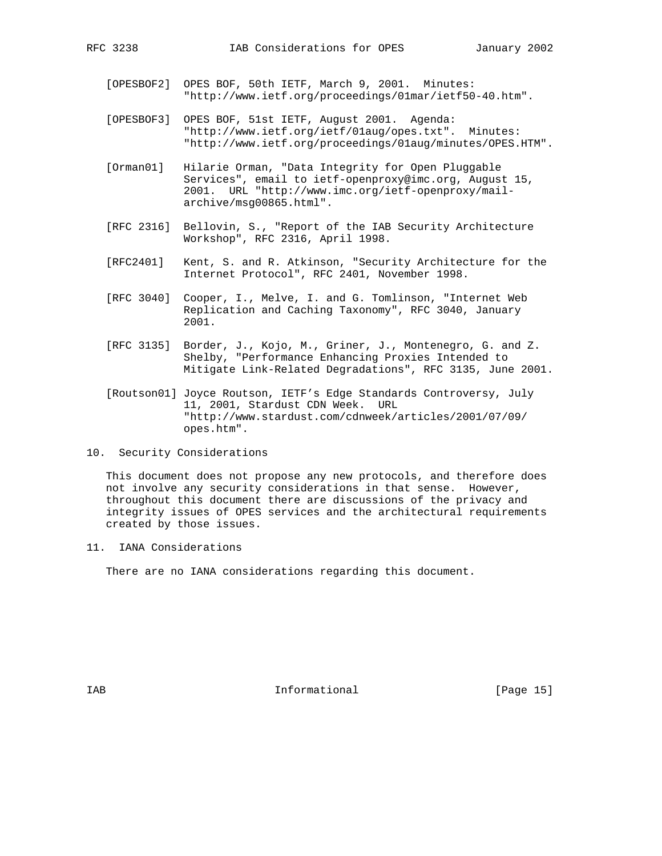- [OPESBOF2] OPES BOF, 50th IETF, March 9, 2001. Minutes: "http://www.ietf.org/proceedings/01mar/ietf50-40.htm".
- [OPESBOF3] OPES BOF, 51st IETF, August 2001. Agenda: "http://www.ietf.org/ietf/01aug/opes.txt". Minutes: "http://www.ietf.org/proceedings/01aug/minutes/OPES.HTM".
- [Orman01] Hilarie Orman, "Data Integrity for Open Pluggable Services", email to ietf-openproxy@imc.org, August 15, 2001. URL "http://www.imc.org/ietf-openproxy/mail archive/msg00865.html".
- [RFC 2316] Bellovin, S., "Report of the IAB Security Architecture Workshop", RFC 2316, April 1998.
- [RFC2401] Kent, S. and R. Atkinson, "Security Architecture for the Internet Protocol", RFC 2401, November 1998.
- [RFC 3040] Cooper, I., Melve, I. and G. Tomlinson, "Internet Web Replication and Caching Taxonomy", RFC 3040, January 2001.
- [RFC 3135] Border, J., Kojo, M., Griner, J., Montenegro, G. and Z. Shelby, "Performance Enhancing Proxies Intended to Mitigate Link-Related Degradations", RFC 3135, June 2001.
- [Routson01] Joyce Routson, IETF's Edge Standards Controversy, July 11, 2001, Stardust CDN Week. URL "http://www.stardust.com/cdnweek/articles/2001/07/09/ opes.htm".
- 10. Security Considerations

 This document does not propose any new protocols, and therefore does not involve any security considerations in that sense. However, throughout this document there are discussions of the privacy and integrity issues of OPES services and the architectural requirements created by those issues.

11. IANA Considerations

There are no IANA considerations regarding this document.

IAB 188 and 100 Informational 188 and 1980 IS 188 and 189 and 189 and 189 and 189 and 189 and 189 and 189 and 1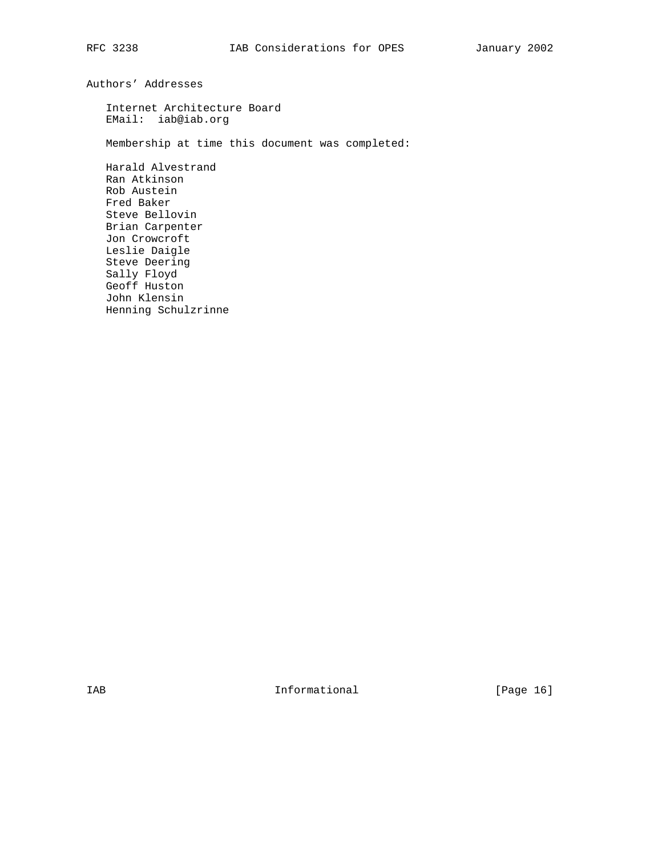Authors' Addresses

 Internet Architecture Board EMail: iab@iab.org

Membership at time this document was completed:

 Harald Alvestrand Ran Atkinson Rob Austein Fred Baker Steve Bellovin Brian Carpenter Jon Crowcroft Leslie Daigle Steve Deering Sally Floyd Geoff Huston John Klensin Henning Schulzrinne

IAB 188 and 100 Informational 188 and 1980 Informational 188 and 189 and 189 and 189 and 189 and 189 and 189 and 189 and 189 and 189 and 189 and 189 and 189 and 189 and 189 and 189 and 189 and 189 and 189 and 189 and 189 a